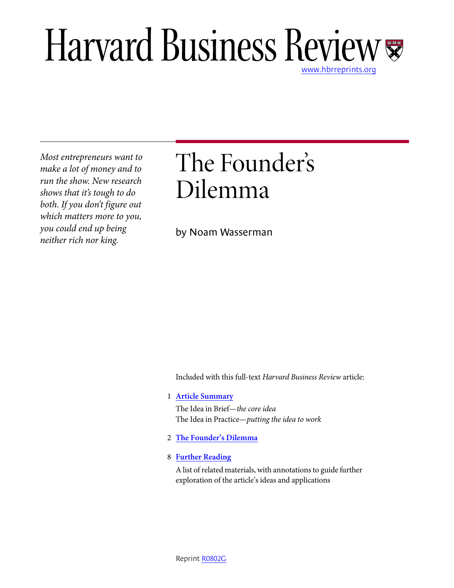## Harvard Business Review [www.hbrreprints.org](http://www.hbrreprints.org)

*Most entrepreneurs want to make a lot of money and to run the show. New research shows that it's tough to do both. If you don't figure out which matters more to you, you could end up being neither rich nor king.*

# The Founder's Dilemma

by Noam Wasserman

Included with this full-text *Harvard Business Review* article:

1 **Article Summary**

The Idea in Brief—*the core idea* The Idea in Practice—*putting the idea to work*

2 **The Founder's Dilemma**

### 8 **Further Reading**

A list of related materials, with annotations to guide further exploration of the article's ideas and applications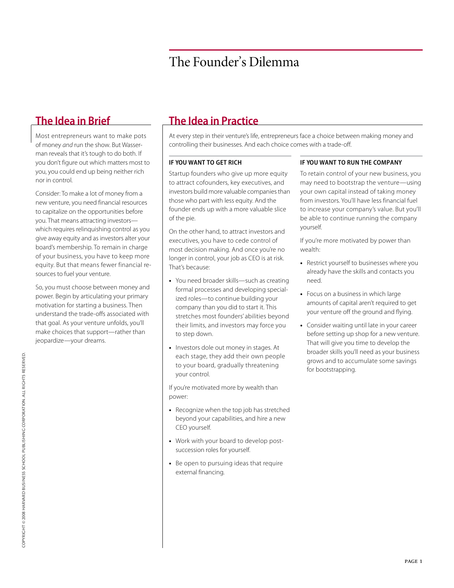## The Founder's Dilemma

Most entrepreneurs want to make pots of money and run the show. But Wasserman reveals that it's tough to do both. If you don't figure out which matters most to you, you could end up being neither rich nor in control.

Consider: To make a lot of money from a new venture, you need financial resources to capitalize on the opportunities before you. That means attracting investors which requires relinquishing control as you give away equity and as investors alter your board's membership. To remain in charge of your business, you have to keep more equity. But that means fewer financial resources to fuel your venture.

So, you must choose between money and power. Begin by articulating your primary motivation for starting a business. Then understand the trade-offs associated with that goal. As your venture unfolds, you'll make choices that support—rather than jeopardize—your dreams.

## **The Idea in Brief The Idea in Practice**

At every step in their venture's life, entrepreneurs face a choice between making money and controlling their businesses. And each choice comes with a trade-off.

#### **IF YOU WANT TO GET RICH**

Startup founders who give up more equity to attract cofounders, key executives, and investors build more valuable companies than those who part with less equity. And the founder ends up with a more valuable slice of the pie.

On the other hand, to attract investors and executives, you have to cede control of most decision making. And once you're no longer in control, your job as CEO is at risk. That's because:

- **•** You need broader skills—such as creating formal processes and developing specialized roles—to continue building your company than you did to start it. This stretches most founders' abilities beyond their limits, and investors may force you to step down.
- **•** Investors dole out money in stages. At each stage, they add their own people to your board, gradually threatening your control.

If you're motivated more by wealth than power:

- **•** Recognize when the top job has stretched beyond your capabilities, and hire a new CEO yourself.
- **•** Work with your board to develop postsuccession roles for yourself.
- **•** Be open to pursuing ideas that require external financing.

#### **IF YOU WANT TO RUN THE COMPANY**

To retain control of your new business, you may need to bootstrap the venture—using your own capital instead of taking money from investors. You'll have less financial fuel to increase your company's value. But you'll be able to continue running the company yourself.

If you're more motivated by power than wealth:

- **•** Restrict yourself to businesses where you already have the skills and contacts you need.
- **•** Focus on a business in which large amounts of capital aren't required to get your venture off the ground and flying.
- **•** Consider waiting until late in your career before setting up shop for a new venture. That will give you time to develop the broader skills you'll need as your business grows and to accumulate some savings for bootstrapping.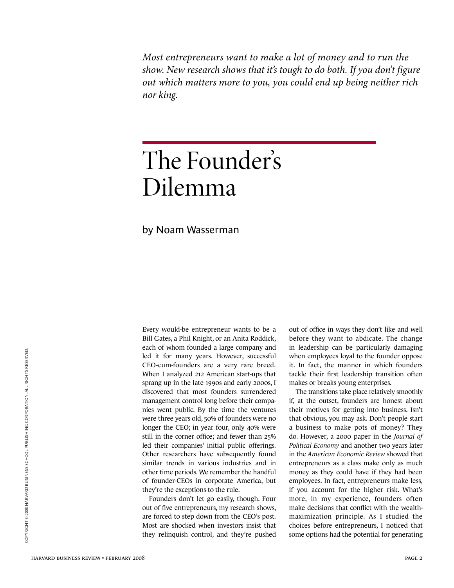*Most entrepreneurs want to make a lot of money and to run the show. New research shows that it's tough to do both. If you don't figure out which matters more to you, you could end up being neither rich nor king.*

## The Founder's Dilemma

by Noam Wasserman

Every would-be entrepreneur wants to be a Bill Gates, a Phil Knight, or an Anita Roddick, each of whom founded a large company and led it for many years. However, successful CEO-cum-founders are a very rare breed. When I analyzed 212 American start-ups that sprang up in the late 1990s and early 2000s, I discovered that most founders surrendered management control long before their companies went public. By the time the ventures were three years old, 50% of founders were no longer the CEO; in year four, only 40% were still in the corner office; and fewer than 25% led their companies' initial public offerings. Other researchers have subsequently found similar trends in various industries and in other time periods. We remember the handful of founder-CEOs in corporate America, but they're the exceptions to the rule.

Founders don't let go easily, though. Four out of five entrepreneurs, my research shows, are forced to step down from the CEO's post. Most are shocked when investors insist that they relinquish control, and they're pushed out of office in ways they don't like and well before they want to abdicate. The change in leadership can be particularly damaging when employees loyal to the founder oppose it. In fact, the manner in which founders tackle their first leadership transition often makes or breaks young enterprises.

The transitions take place relatively smoothly if, at the outset, founders are honest about their motives for getting into business. Isn't that obvious, you may ask. Don't people start a business to make pots of money? They do. However, a 2000 paper in the *Journal of Political Economy* and another two years later in the *American Economic Review* showed that entrepreneurs as a class make only as much money as they could have if they had been employees. In fact, entrepreneurs make less, if you account for the higher risk. What's more, in my experience, founders often make decisions that conflict with the wealthmaximization principle. As I studied the choices before entrepreneurs, I noticed that some options had the potential for generating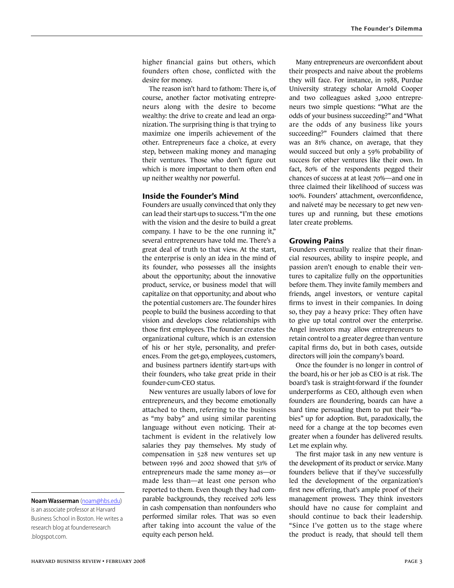higher financial gains but others, which founders often chose, conflicted with the desire for money.

The reason isn't hard to fathom: There is, of course, another factor motivating entrepreneurs along with the desire to become wealthy: the drive to create and lead an organization. The surprising thing is that trying to maximize one imperils achievement of the other. Entrepreneurs face a choice, at every step, between making money and managing their ventures. Those who don't figure out which is more important to them often end up neither wealthy nor powerful.

#### **Inside the Founder's Mind**

Founders are usually convinced that only they can lead their start-ups to success. "I'm the one with the vision and the desire to build a great company. I have to be the one running it," several entrepreneurs have told me. There's a great deal of truth to that view. At the start, the enterprise is only an idea in the mind of its founder, who possesses all the insights about the opportunity; about the innovative product, service, or business model that will capitalize on that opportunity; and about who the potential customers are. The founder hires people to build the business according to that vision and develops close relationships with those first employees. The founder creates the organizational culture, which is an extension of his or her style, personality, and preferences. From the get-go, employees, customers, and business partners identify start-ups with their founders, who take great pride in their founder-cum-CEO status.

New ventures are usually labors of love for entrepreneurs, and they become emotionally attached to them, referring to the business as "my baby" and using similar parenting language without even noticing. Their attachment is evident in the relatively low salaries they pay themselves. My study of compensation in 528 new ventures set up between 1996 and 2002 showed that 51% of entrepreneurs made the same money as—or made less than—at least one person who reported to them. Even though they had comparable backgrounds, they received 20% less in cash compensation than nonfounders who performed similar roles. That was so even after taking into account the value of the equity each person held.

Many entrepreneurs are overconfident about their prospects and naive about the problems they will face. For instance, in 1988, Purdue University strategy scholar Arnold Cooper and two colleagues asked 3,000 entrepreneurs two simple questions: "What are the odds of your business succeeding?" and "What are the odds of any business like yours succeeding?" Founders claimed that there was an 81% chance, on average, that they would succeed but only a 59% probability of success for other ventures like their own. In fact, 80% of the respondents pegged their chances of success at at least 70%—and one in three claimed their likelihood of success was 100%. Founders' attachment, overconfidence, and naïveté may be necessary to get new ventures up and running, but these emotions later create problems.

#### **Growing Pains**

Founders eventually realize that their financial resources, ability to inspire people, and passion aren't enough to enable their ventures to capitalize fully on the opportunities before them. They invite family members and friends, angel investors, or venture capital firms to invest in their companies. In doing so, they pay a heavy price: They often have to give up total control over the enterprise. Angel investors may allow entrepreneurs to retain control to a greater degree than venture capital firms do, but in both cases, outside directors will join the company's board.

Once the founder is no longer in control of the board, his or her job as CEO is at risk. The board's task is straight-forward if the founder underperforms as CEO, although even when founders are floundering, boards can have a hard time persuading them to put their "babies" up for adoption. But, paradoxically, the need for a change at the top becomes even greater when a founder has delivered results. Let me explain why.

The first major task in any new venture is the development of its product or service. Many founders believe that if they've successfully led the development of the organization's first new offering, that's ample proof of their management prowess. They think investors should have no cause for complaint and should continue to back their leadership. "Since I've gotten us to the stage where the product is ready, that should tell them

**Noam Wasserman** ([noam@hbs.edu](mailto:noam@hbs.edu)) is an associate professor at Harvard Business School in Boston. He writes a research blog at founderresearch .blogspot.com.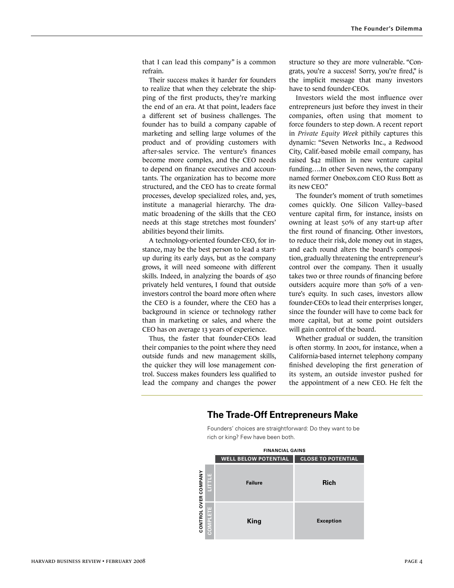that I can lead this company" is a common refrain.

Their success makes it harder for founders to realize that when they celebrate the shipping of the first products, they're marking the end of an era. At that point, leaders face a different set of business challenges. The founder has to build a company capable of marketing and selling large volumes of the product and of providing customers with after-sales service. The venture's finances become more complex, and the CEO needs to depend on finance executives and accountants. The organization has to become more structured, and the CEO has to create formal processes, develop specialized roles, and, yes, institute a managerial hierarchy. The dramatic broadening of the skills that the CEO needs at this stage stretches most founders' abilities beyond their limits.

A technology-oriented founder-CEO, for instance, may be the best person to lead a startup during its early days, but as the company grows, it will need someone with different skills. Indeed, in analyzing the boards of 450 privately held ventures, I found that outside investors control the board more often where the CEO is a founder, where the CEO has a background in science or technology rather than in marketing or sales, and where the CEO has on average 13 years of experience.

Thus, the faster that founder-CEOs lead their companies to the point where they need outside funds and new management skills, the quicker they will lose management control. Success makes founders less qualified to lead the company and changes the power

structure so they are more vulnerable. "Congrats, you're a success! Sorry, you're fired," is the implicit message that many investors have to send founder-CEOs.

Investors wield the most influence over entrepreneurs just before they invest in their companies, often using that moment to force founders to step down. A recent report in *Private Equity Week* pithily captures this dynamic: "Seven Networks Inc., a Redwood City, Calif.-based mobile email company, has raised \$42 million in new venture capital funding….In other Seven news, the company named former Onebox.com CEO Russ Bott as its new CEO."

The founder's moment of truth sometimes comes quickly. One Silicon Valley–based venture capital firm, for instance, insists on owning at least 50% of any start-up after the first round of financing. Other investors, to reduce their risk, dole money out in stages, and each round alters the board's composition, gradually threatening the entrepreneur's control over the company. Then it usually takes two or three rounds of financing before outsiders acquire more than 50% of a venture's equity. In such cases, investors allow founder-CEOs to lead their enterprises longer, since the founder will have to come back for more capital, but at some point outsiders will gain control of the board.

Whether gradual or sudden, the transition is often stormy. In 2001, for instance, when a California-based internet telephony company finished developing the first generation of its system, an outside investor pushed for the appointment of a new CEO. He felt the



**King Exception**

### **The Trade-Off Entrepreneurs Make**

Founders' choices are straightforward: Do they want to be rich or king? Few have been both.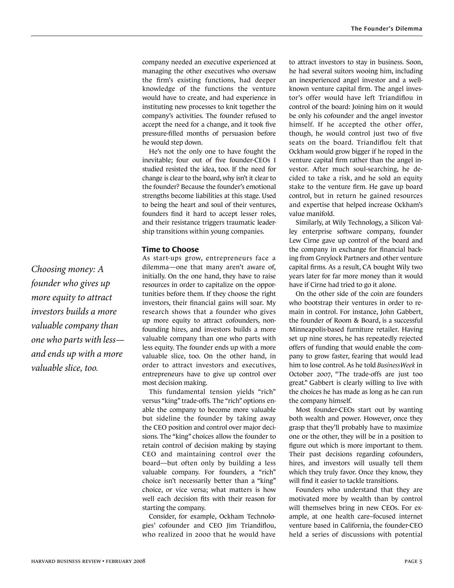company needed an executive experienced at managing the other executives who oversaw the firm's existing functions, had deeper knowledge of the functions the venture would have to create, and had experience in instituting new processes to knit together the company's activities. The founder refused to accept the need for a change, and it took five pressure-filled months of persuasion before he would step down.

He's not the only one to have fought the inevitable; four out of five founder-CEOs I studied resisted the idea, too. If the need for change is clear to the board, why isn't it clear to the founder? Because the founder's emotional strengths become liabilities at this stage. Used to being the heart and soul of their ventures, founders find it hard to accept lesser roles, and their resistance triggers traumatic leadership transitions within young companies.

#### **Time to Choose**

As start-ups grow, entrepreneurs face a dilemma—one that many aren't aware of, initially. On the one hand, they have to raise resources in order to capitalize on the opportunities before them. If they choose the right investors, their financial gains will soar. My research shows that a founder who gives up more equity to attract cofounders, nonfounding hires, and investors builds a more valuable company than one who parts with less equity. The founder ends up with a more valuable slice, too. On the other hand, in order to attract investors and executives, entrepreneurs have to give up control over most decision making.

This fundamental tension yields "rich" versus "king" trade-offs. The "rich" options enable the company to become more valuable but sideline the founder by taking away the CEO position and control over major decisions. The "king" choices allow the founder to retain control of decision making by staying CEO and maintaining control over the board—but often only by building a less valuable company. For founders, a "rich" choice isn't necessarily better than a "king" choice, or vice versa; what matters is how well each decision fits with their reason for starting the company.

Consider, for example, Ockham Technologies' cofounder and CEO Jim Triandiflou, who realized in 2000 that he would have to attract investors to stay in business. Soon, he had several suitors wooing him, including an inexperienced angel investor and a wellknown venture capital firm. The angel investor's offer would have left Triandiflou in control of the board: Joining him on it would be only his cofounder and the angel investor himself. If he accepted the other offer, though, he would control just two of five seats on the board. Triandiflou felt that Ockham would grow bigger if he roped in the venture capital firm rather than the angel investor. After much soul-searching, he decided to take a risk, and he sold an equity stake to the venture firm. He gave up board control, but in return he gained resources and expertise that helped increase Ockham's value manifold.

Similarly, at Wily Technology, a Silicon Valley enterprise software company, founder Lew Cirne gave up control of the board and the company in exchange for financial backing from Greylock Partners and other venture capital firms. As a result, CA bought Wily two years later for far more money than it would have if Cirne had tried to go it alone.

On the other side of the coin are founders who bootstrap their ventures in order to remain in control. For instance, John Gabbert, the founder of Room & Board, is a successful Minneapolis-based furniture retailer. Having set up nine stores, he has repeatedly rejected offers of funding that would enable the company to grow faster, fearing that would lead him to lose control. As he told *BusinessWeek* in October 2007, "The trade-offs are just too great." Gabbert is clearly willing to live with the choices he has made as long as he can run the company himself.

Most founder-CEOs start out by wanting both wealth and power. However, once they grasp that they'll probably have to maximize one or the other, they will be in a position to figure out which is more important to them. Their past decisions regarding cofounders, hires, and investors will usually tell them which they truly favor. Once they know, they will find it easier to tackle transitions.

Founders who understand that they are motivated more by wealth than by control will themselves bring in new CEOs. For example, at one health care–focused internet venture based in California, the founder-CEO held a series of discussions with potential

*Choosing money: A founder who gives up more equity to attract investors builds a more valuable company than one who parts with less and ends up with a more valuable slice, too.*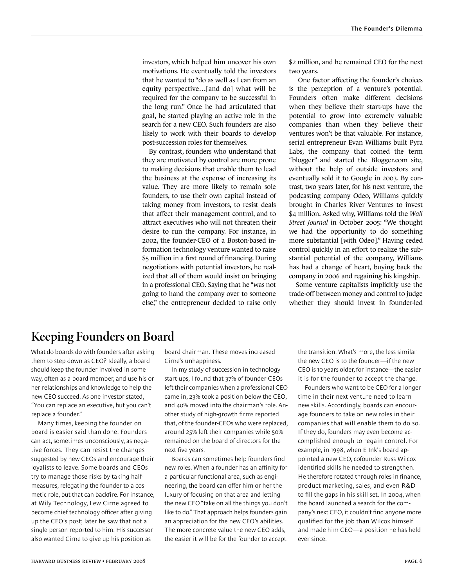investors, which helped him uncover his own motivations. He eventually told the investors that he wanted to "do as well as I can from an equity perspective…[and do] what will be required for the company to be successful in the long run." Once he had articulated that goal, he started playing an active role in the search for a new CEO. Such founders are also likely to work with their boards to develop post-succession roles for themselves.

By contrast, founders who understand that they are motivated by control are more prone to making decisions that enable them to lead the business at the expense of increasing its value. They are more likely to remain sole founders, to use their own capital instead of taking money from investors, to resist deals that affect their management control, and to attract executives who will not threaten their desire to run the company. For instance, in 2002, the founder-CEO of a Boston-based information technology venture wanted to raise \$5 million in a first round of financing. During negotiations with potential investors, he realized that all of them would insist on bringing in a professional CEO. Saying that he "was not going to hand the company over to someone else," the entrepreneur decided to raise only \$2 million, and he remained CEO for the next two years.

One factor affecting the founder's choices is the perception of a venture's potential. Founders often make different decisions when they believe their start-ups have the potential to grow into extremely valuable companies than when they believe their ventures won't be that valuable. For instance, serial entrepreneur Evan Williams built Pyra Labs, the company that coined the term "blogger" and started the Blogger.com site, without the help of outside investors and eventually sold it to Google in 2003. By contrast, two years later, for his next venture, the podcasting company Odeo, Williams quickly brought in Charles River Ventures to invest \$4 million. Asked why, Williams told the *Wall Street Journal* in October 2005: "We thought we had the opportunity to do something more substantial [with Odeo]." Having ceded control quickly in an effort to realize the substantial potential of the company, Williams has had a change of heart, buying back the company in 2006 and regaining his kingship.

Some venture capitalists implicitly use the trade-off between money and control to judge whether they should invest in founder-led

### **Keeping Founders on Board**

What do boards do with founders after asking them to step down as CEO? Ideally, a board should keep the founder involved in some way, often as a board member, and use his or her relationships and knowledge to help the new CEO succeed. As one investor stated, "You can replace an executive, but you can't replace a founder."

Many times, keeping the founder on board is easier said than done. Founders can act, sometimes unconsciously, as negative forces. They can resist the changes suggested by new CEOs and encourage their loyalists to leave. Some boards and CEOs try to manage those risks by taking halfmeasures, relegating the founder to a cosmetic role, but that can backfire. For instance, at Wily Technology, Lew Cirne agreed to become chief technology officer after giving up the CEO's post; later he saw that not a single person reported to him. His successor also wanted Cirne to give up his position as

board chairman. These moves increased Cirne's unhappiness.

In my study of succession in technology start-ups, I found that 37% of founder-CEOs left their companies when a professional CEO came in, 23% took a position below the CEO, and 40% moved into the chairman's role. Another study of high-growth firms reported that, of the founder-CEOs who were replaced, around 25% left their companies while 50% remained on the board of directors for the next five years.

Boards can sometimes help founders find new roles. When a founder has an affinity for a particular functional area, such as engineering, the board can offer him or her the luxury of focusing on that area and letting the new CEO "take on all the things you don't like to do." That approach helps founders gain an appreciation for the new CEO's abilities. The more concrete value the new CEO adds, the easier it will be for the founder to accept

the transition. What's more, the less similar the new CEO is to the founder—if the new CEO is 10 years older, for instance—the easier it is for the founder to accept the change.

Founders who want to be CEO for a longer time in their next venture need to learn new skills. Accordingly, boards can encourage founders to take on new roles in their companies that will enable them to do so. If they do, founders may even become accomplished enough to regain control. For example, in 1998, when E Ink's board appointed a new CEO, cofounder Russ Wilcox identified skills he needed to strengthen. He therefore rotated through roles in finance, product marketing, sales, and even R&D to fill the gaps in his skill set. In 2004, when the board launched a search for the company's next CEO, it couldn't find anyone more qualified for the job than Wilcox himself and made him CEO—a position he has held ever since.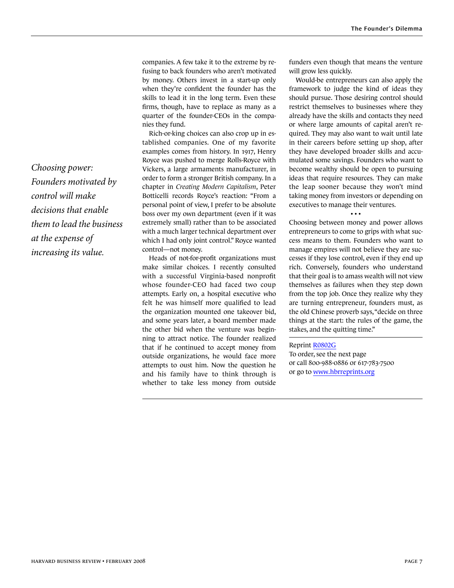companies. A few take it to the extreme by refusing to back founders who aren't motivated by money. Others invest in a start-up only when they're confident the founder has the skills to lead it in the long term. Even these firms, though, have to replace as many as a quarter of the founder-CEOs in the companies they fund.

Rich-or-king choices can also crop up in established companies. One of my favorite examples comes from history. In 1917, Henry Royce was pushed to merge Rolls-Royce with Vickers, a large armaments manufacturer, in order to form a stronger British company. In a chapter in *Creating Modern Capitalism*, Peter Botticelli records Royce's reaction: "From a personal point of view, I prefer to be absolute boss over my own department (even if it was extremely small) rather than to be associated with a much larger technical department over which I had only joint control." Royce wanted control—not money.

Heads of not-for-profit organizations must make similar choices. I recently consulted with a successful Virginia-based nonprofit whose founder-CEO had faced two coup attempts. Early on, a hospital executive who felt he was himself more qualified to lead the organization mounted one takeover bid, and some years later, a board member made the other bid when the venture was beginning to attract notice. The founder realized that if he continued to accept money from outside organizations, he would face more attempts to oust him. Now the question he and his family have to think through is whether to take less money from outside

funders even though that means the venture will grow less quickly.

Would-be entrepreneurs can also apply the framework to judge the kind of ideas they should pursue. Those desiring control should restrict themselves to businesses where they already have the skills and contacts they need or where large amounts of capital aren't required. They may also want to wait until late in their careers before setting up shop, after they have developed broader skills and accumulated some savings. Founders who want to become wealthy should be open to pursuing ideas that require resources. They can make the leap sooner because they won't mind taking money from investors or depending on executives to manage their ventures.

• • •

Choosing between money and power allows entrepreneurs to come to grips with what success means to them. Founders who want to manage empires will not believe they are successes if they lose control, even if they end up rich. Conversely, founders who understand that their goal is to amass wealth will not view themselves as failures when they step down from the top job. Once they realize why they are turning entrepreneur, founders must, as the old Chinese proverb says, "decide on three things at the start: the rules of the game, the stakes, and the quitting time."

Reprint [R0802G](http://harvardbusinessonline.hbsp.harvard.edu/relay.jhtml?name=itemdetail&referral=4320&id=R0802G)

To order, see the next page or call 800-988-0886 or 617-783-7500 or go to [www.hbrreprints.org](http://www.hbrreprints.org)

*Choosing power: Founders motivated by control will make decisions that enable them to lead the business at the expense of increasing its value.*